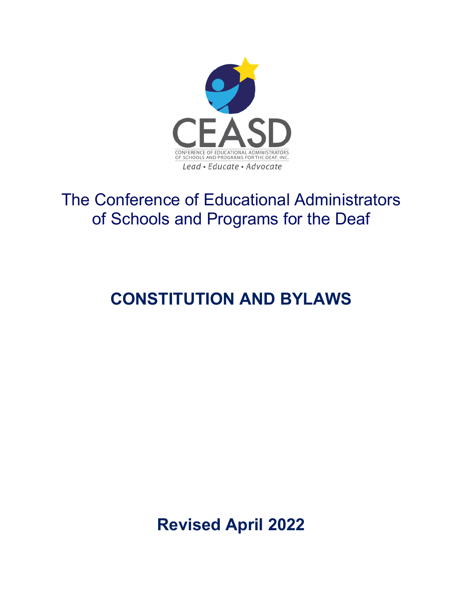

## The Conference of Educational Administrators of Schools and Programs for the Deaf

# **CONSTITUTION AND BYLAWS**

**Revised April 2022**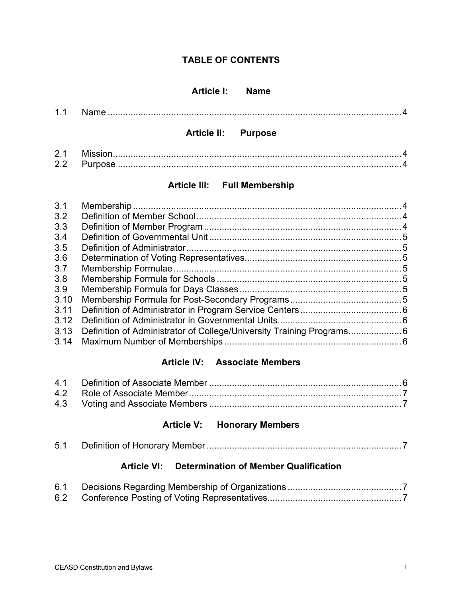## **TABLE OF CONTENTS**

### **Article I: Name**

|  | <b>Article II: Purpose</b> |  |
|--|----------------------------|--|
|  |                            |  |

## **Article lll: Full Membership**

2.2 Purpose ................................................................................................................4

| 3.1  |  |
|------|--|
| 3.2  |  |
| 3.3  |  |
| 3.4  |  |
| 3.5  |  |
| 3.6  |  |
| 3.7  |  |
| 3.8  |  |
| 3.9  |  |
| 3.10 |  |
| 3.11 |  |
| 3.12 |  |
| 3.13 |  |
|      |  |
|      |  |

## **Article IV: Associate Members**

## **Article V: Honorary Members**

| 5.1 |  |  |
|-----|--|--|
|-----|--|--|

## **Article VI: Determination of Member Qualification**

| 6.1 |  |
|-----|--|
|     |  |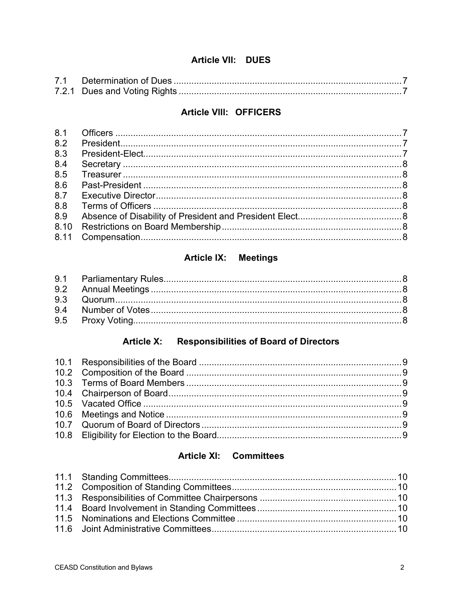## Article VII: DUES

## **Article VIII: OFFICERS**

| 8.1 |  |
|-----|--|
| 8.2 |  |
| 8.3 |  |
| 8.4 |  |
| 8.5 |  |
| 8.6 |  |
| 8.7 |  |
| 8.8 |  |
| 8.9 |  |
|     |  |
|     |  |
|     |  |

## Article IX: Meetings

#### **Article X: Responsibilities of Board of Directors**

## **Article XI: Committees**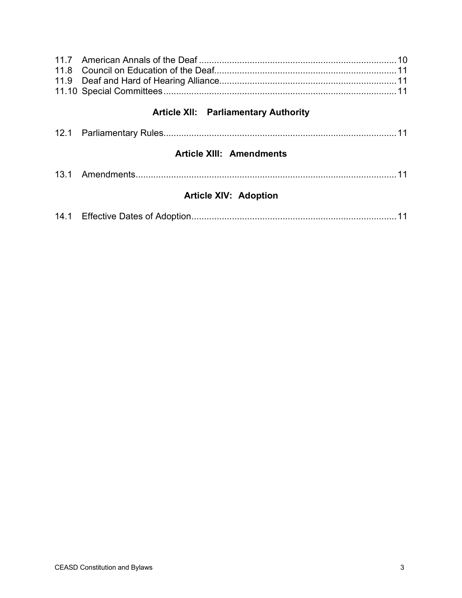| <b>Article XII: Parliamentary Authority</b> |  |
|---------------------------------------------|--|
|                                             |  |
| <b>Article XIII: Amendments</b>             |  |
|                                             |  |
| <b>Article XIV: Adoption</b>                |  |
|                                             |  |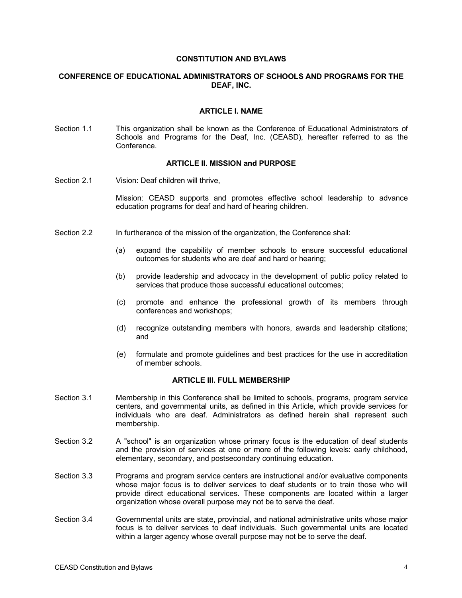#### **CONSTITUTION AND BYLAWS**

#### **CONFERENCE OF EDUCATIONAL ADMINISTRATORS OF SCHOOLS AND PROGRAMS FOR THE DEAF, INC.**

#### **ARTICLE I. NAME**

Section 1.1 This organization shall be known as the Conference of Educational Administrators of Schools and Programs for the Deaf, Inc. (CEASD), hereafter referred to as the **Conference** 

#### **ARTICLE II. MISSION and PURPOSE**

Section 2.1 Vision: Deaf children will thrive.

Mission: CEASD supports and promotes effective school leadership to advance education programs for deaf and hard of hearing children.

- Section 2.2 In furtherance of the mission of the organization, the Conference shall:
	- (a) expand the capability of member schools to ensure successful educational outcomes for students who are deaf and hard or hearing;
	- (b) provide leadership and advocacy in the development of public policy related to services that produce those successful educational outcomes;
	- (c) promote and enhance the professional growth of its members through conferences and workshops;
	- (d) recognize outstanding members with honors, awards and leadership citations; and
	- (e) formulate and promote guidelines and best practices for the use in accreditation of member schools.

#### **ARTICLE III. FULL MEMBERSHIP**

- Section 3.1 Membership in this Conference shall be limited to schools, programs, program service centers, and governmental units, as defined in this Article, which provide services for individuals who are deaf. Administrators as defined herein shall represent such membership.
- Section 3.2 A "school" is an organization whose primary focus is the education of deaf students and the provision of services at one or more of the following levels: early childhood, elementary, secondary, and postsecondary continuing education.
- Section 3.3 Programs and program service centers are instructional and/or evaluative components whose major focus is to deliver services to deaf students or to train those who will provide direct educational services. These components are located within a larger organization whose overall purpose may not be to serve the deaf.
- Section 3.4 Governmental units are state, provincial, and national administrative units whose major focus is to deliver services to deaf individuals. Such governmental units are located within a larger agency whose overall purpose may not be to serve the deaf.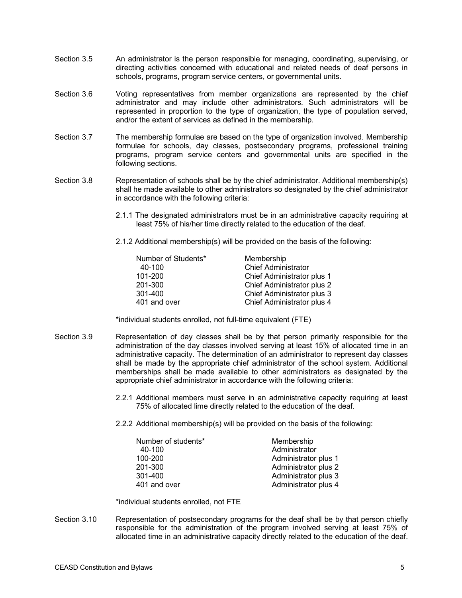- Section 3.5 An administrator is the person responsible for managing, coordinating, supervising, or directing activities concerned with educational and related needs of deaf persons in schools, programs, program service centers, or governmental units.
- Section 3.6 Voting representatives from member organizations are represented by the chief administrator and may include other administrators. Such administrators will be represented in proportion to the type of organization, the type of population served, and/or the extent of services as defined in the membership.
- Section 3.7 The membership formulae are based on the type of organization involved. Membership formulae for schools, day classes, postsecondary programs, professional training programs, program service centers and governmental units are specified in the following sections.
- Section 3.8 Representation of schools shall be by the chief administrator. Additional membership(s) shall he made available to other administrators so designated by the chief administrator in accordance with the following criteria:
	- 2.1.1 The designated administrators must be in an administrative capacity requiring at least 75% of his/her time directly related to the education of the deaf.
	- 2.1.2 Additional membership(s) will be provided on the basis of the following:

| Number of Students* | Membership                 |
|---------------------|----------------------------|
| 40-100              | <b>Chief Administrator</b> |
| 101-200             | Chief Administrator plus 1 |
| 201-300             | Chief Administrator plus 2 |
| 301-400             | Chief Administrator plus 3 |
| 401 and over        | Chief Administrator plus 4 |

\*individual students enrolled, not full-time equivalent (FTE)

- Section 3.9 Representation of day classes shall be by that person primarily responsible for the administration of the day classes involved serving at least 15% of allocated time in an administrative capacity. The determination of an administrator to represent day classes shall be made by the appropriate chief administrator of the school system. Additional memberships shall be made available to other administrators as designated by the appropriate chief administrator in accordance with the following criteria:
	- 2.2.1 Additional members must serve in an administrative capacity requiring at least 75% of allocated lime directly related to the education of the deaf.
	- 2.2.2 Additional membership(s) will be provided on the basis of the following:

| Number of students* | Membership           |
|---------------------|----------------------|
| 40-100              | Administrator        |
| 100-200             | Administrator plus 1 |
| 201-300             | Administrator plus 2 |
| 301-400             | Administrator plus 3 |
| 401 and over        | Administrator plus 4 |

\*individual students enrolled, not FTE

Section 3.10 Representation of postsecondary programs for the deaf shall be by that person chiefly responsible for the administration of the program involved serving at least 75% of allocated time in an administrative capacity directly related to the education of the deaf.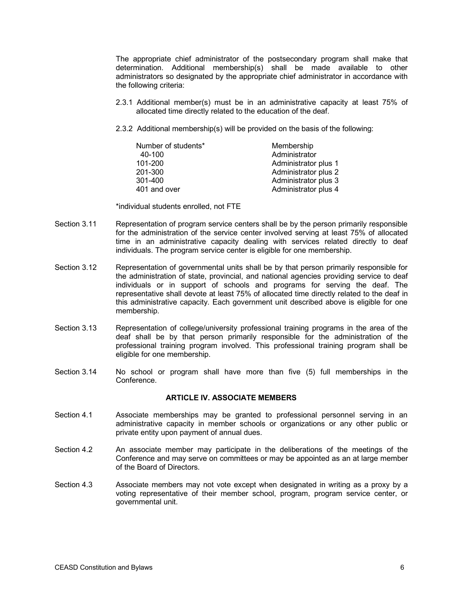The appropriate chief administrator of the postsecondary program shall make that determination. Additional membership(s) shall be made available to other administrators so designated by the appropriate chief administrator in accordance with the following criteria:

- 2.3.1 Additional member(s) must be in an administrative capacity at least 75% of allocated time directly related to the education of the deaf.
- 2.3.2 Additional membership(s) will be provided on the basis of the following:

| Number of students* | Membership           |
|---------------------|----------------------|
| 40-100              | Administrator        |
| 101-200             | Administrator plus 1 |
| 201-300             | Administrator plus 2 |
| 301-400             | Administrator plus 3 |
| 401 and over        | Administrator plus 4 |

\*individual students enrolled, not FTE

- Section 3.11 Representation of program service centers shall be by the person primarily responsible for the administration of the service center involved serving at least 75% of allocated time in an administrative capacity dealing with services related directly to deaf individuals. The program service center is eligible for one membership.
- Section 3.12 Representation of governmental units shall be by that person primarily responsible for the administration of state, provincial, and national agencies providing service to deaf individuals or in support of schools and programs for serving the deaf. The representative shall devote at least 75% of allocated time directly related to the deaf in this administrative capacity. Each government unit described above is eligible for one membership.
- Section 3.13 Representation of college/university professional training programs in the area of the deaf shall be by that person primarily responsible for the administration of the professional training program involved. This professional training program shall be eligible for one membership.
- Section 3.14 No school or program shall have more than five (5) full memberships in the **Conference**

#### **ARTICLE IV. ASSOCIATE MEMBERS**

- Section 4.1 Associate memberships may be granted to professional personnel serving in an administrative capacity in member schools or organizations or any other public or private entity upon payment of annual dues.
- Section 4.2 An associate member may participate in the deliberations of the meetings of the Conference and may serve on committees or may be appointed as an at large member of the Board of Directors.
- Section 4.3 Associate members may not vote except when designated in writing as a proxy by a voting representative of their member school, program, program service center, or governmental unit.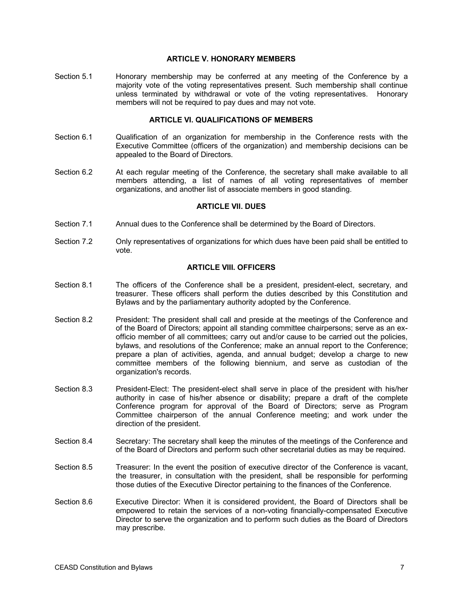#### **ARTICLE V. HONORARY MEMBERS**

Section 5.1 Honorary membership may be conferred at any meeting of the Conference by a majority vote of the voting representatives present. Such membership shall continue unless terminated by withdrawal or vote of the voting representatives. Honorary members will not be required to pay dues and may not vote.

#### **ARTICLE VI. QUALIFICATIONS OF MEMBERS**

- Section 6.1 Cualification of an organization for membership in the Conference rests with the Executive Committee (officers of the organization) and membership decisions can be appealed to the Board of Directors.
- Section 6.2 At each regular meeting of the Conference, the secretary shall make available to all members attending, a list of names of all voting representatives of member organizations, and another list of associate members in good standing.

#### **ARTICLE VIl. DUES**

- Section 7.1 Annual dues to the Conference shall be determined by the Board of Directors.
- Section 7.2 Only representatives of organizations for which dues have been paid shall be entitled to vote.

#### **ARTICLE VIII. OFFICERS**

- Section 8.1 The officers of the Conference shall be a president, president-elect, secretary, and treasurer. These officers shall perform the duties described by this Constitution and Bylaws and by the parliamentary authority adopted by the Conference.
- Section 8.2 President: The president shall call and preside at the meetings of the Conference and of the Board of Directors; appoint all standing committee chairpersons; serve as an exofficio member of all committees; carry out and/or cause to be carried out the policies, bylaws, and resolutions of the Conference; make an annual report to the Conference; prepare a plan of activities, agenda, and annual budget; develop a charge to new committee members of the following biennium, and serve as custodian of the organization's records.
- Section 8.3 President-Elect: The president-elect shall serve in place of the president with his/her authority in case of his/her absence or disability; prepare a draft of the complete Conference program for approval of the Board of Directors; serve as Program Committee chairperson of the annual Conference meeting; and work under the direction of the president.
- Section 8.4 Secretary: The secretary shall keep the minutes of the meetings of the Conference and of the Board of Directors and perform such other secretarial duties as may be required.
- Section 8.5 Treasurer: In the event the position of executive director of the Conference is vacant, the treasurer, in consultation with the president, shall be responsible for performing those duties of the Executive Director pertaining to the finances of the Conference.
- Section 8.6 Executive Director: When it is considered provident, the Board of Directors shall be empowered to retain the services of a non-voting financially-compensated Executive Director to serve the organization and to perform such duties as the Board of Directors may prescribe.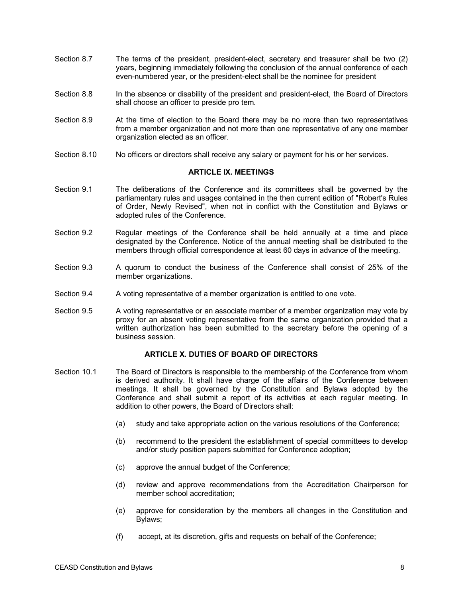- Section 8.7 The terms of the president, president-elect, secretary and treasurer shall be two (2) years, beginning immediately following the conclusion of the annual conference of each even-numbered year, or the president-elect shall be the nominee for president
- Section 8.8 In the absence or disability of the president and president-elect, the Board of Directors shall choose an officer to preside pro tem.
- Section 8.9 At the time of election to the Board there may be no more than two representatives from a member organization and not more than one representative of any one member organization elected as an officer.
- Section 8.10 No officers or directors shall receive any salary or payment for his or her services.

#### **ARTICLE IX. MEETINGS**

- Section 9.1 The deliberations of the Conference and its committees shall be governed by the parliamentary rules and usages contained in the then current edition of "Robert's Rules of Order, Newly Revised", when not in conflict with the Constitution and Bylaws or adopted rules of the Conference.
- Section 9.2 Regular meetings of the Conference shall be held annually at a time and place designated by the Conference. Notice of the annual meeting shall be distributed to the members through official correspondence at least 60 days in advance of the meeting.
- Section 9.3 A quorum to conduct the business of the Conference shall consist of 25% of the member organizations.
- Section 9.4 A voting representative of a member organization is entitled to one vote.
- Section 9.5 A voting representative or an associate member of a member organization may vote by proxy for an absent voting representative from the same organization provided that a written authorization has been submitted to the secretary before the opening of a business session.

#### **ARTICLE X. DUTIES OF BOARD OF DIRECTORS**

- Section 10.1 The Board of Directors is responsible to the membership of the Conference from whom is derived authority. It shall have charge of the affairs of the Conference between meetings. It shall be governed by the Constitution and Bylaws adopted by the Conference and shall submit a report of its activities at each regular meeting. In addition to other powers, the Board of Directors shall:
	- (a) study and take appropriate action on the various resolutions of the Conference;
	- (b) recommend to the president the establishment of special committees to develop and/or study position papers submitted for Conference adoption;
	- (c) approve the annual budget of the Conference;
	- (d) review and approve recommendations from the Accreditation Chairperson for member school accreditation;
	- (e) approve for consideration by the members all changes in the Constitution and Bylaws;
	- (f) accept, at its discretion, gifts and requests on behalf of the Conference;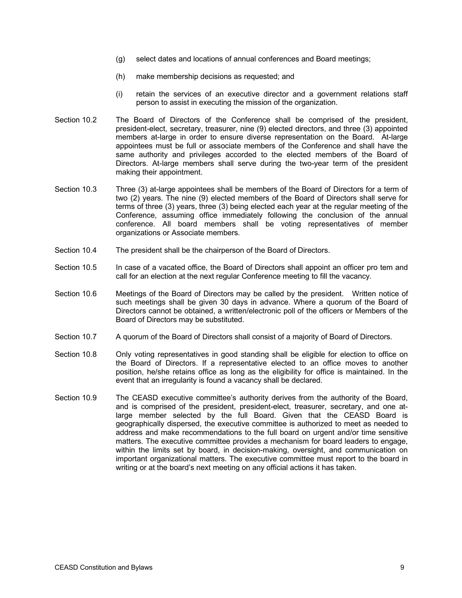- (g) select dates and locations of annual conferences and Board meetings;
- (h) make membership decisions as requested; and
- (i) retain the services of an executive director and a government relations staff person to assist in executing the mission of the organization.
- Section 10.2 The Board of Directors of the Conference shall be comprised of the president, president-elect, secretary, treasurer, nine (9) elected directors, and three (3) appointed members at-large in order to ensure diverse representation on the Board. At-large appointees must be full or associate members of the Conference and shall have the same authority and privileges accorded to the elected members of the Board of Directors. At-large members shall serve during the two-year term of the president making their appointment.
- Section 10.3 Three (3) at-large appointees shall be members of the Board of Directors for a term of two (2) years. The nine (9) elected members of the Board of Directors shall serve for terms of three (3) years, three (3) being elected each year at the regular meeting of the Conference, assuming office immediately following the conclusion of the annual conference. All board members shall be voting representatives of member organizations or Associate members.
- Section 10.4 The president shall be the chairperson of the Board of Directors.
- Section 10.5 In case of a vacated office, the Board of Directors shall appoint an officer pro tem and call for an election at the next regular Conference meeting to fill the vacancy.
- Section 10.6 Meetings of the Board of Directors may be called by the president. Written notice of such meetings shall be given 30 days in advance. Where a quorum of the Board of Directors cannot be obtained, a written/electronic poll of the officers or Members of the Board of Directors may be substituted.
- Section 10.7 A quorum of the Board of Directors shall consist of a majority of Board of Directors.
- Section 10.8 Only voting representatives in good standing shall be eligible for election to office on the Board of Directors. If a representative elected to an office moves to another position, he/she retains office as long as the eligibility for office is maintained. In the event that an irregularity is found a vacancy shall be declared.
- Section 10.9 The CEASD executive committee's authority derives from the authority of the Board, and is comprised of the president, president-elect, treasurer, secretary, and one atlarge member selected by the full Board. Given that the CEASD Board is geographically dispersed, the executive committee is authorized to meet as needed to address and make recommendations to the full board on urgent and/or time sensitive matters. The executive committee provides a mechanism for board leaders to engage, within the limits set by board, in decision-making, oversight, and communication on important organizational matters. The executive committee must report to the board in writing or at the board's next meeting on any official actions it has taken.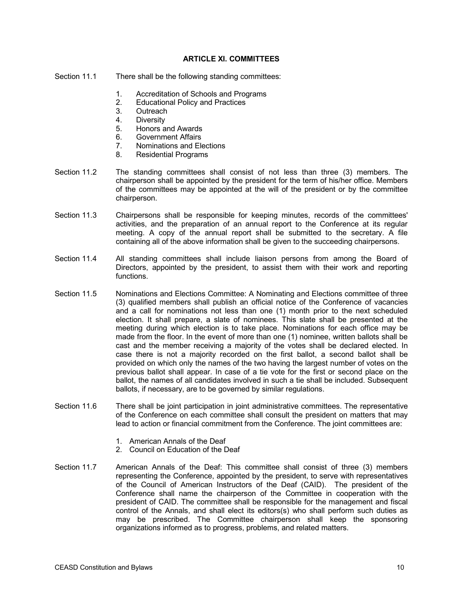#### **ARTICLE XI. COMMITTEES**

- Section 11.1 There shall be the following standing committees:
	- 1. Accreditation of Schools and Programs
	- 2. Educational Policy and Practices
	- 3. Outreach
	- 4. Diversity
	- 5. Honors and Awards
	- 6. Government Affairs
	- 7. Nominations and Elections
	- 8. Residential Programs
- Section 11.2 The standing committees shall consist of not less than three (3) members. The chairperson shall be appointed by the president for the term of his/her office. Members of the committees may be appointed at the will of the president or by the committee chairperson.
- Section 11.3 Chairpersons shall be responsible for keeping minutes, records of the committees' activities, and the preparation of an annual report to the Conference at its regular meeting. A copy of the annual report shall be submitted to the secretary. A file containing all of the above information shall be given to the succeeding chairpersons.
- Section 11.4 All standing committees shall include liaison persons from among the Board of Directors, appointed by the president, to assist them with their work and reporting functions.
- Section 11.5 Nominations and Elections Committee: A Nominating and Elections committee of three (3) qualified members shall publish an official notice of the Conference of vacancies and a call for nominations not less than one (1) month prior to the next scheduled election. It shall prepare, a slate of nominees. This slate shall be presented at the meeting during which election is to take place. Nominations for each office may be made from the floor. In the event of more than one (1) nominee, written ballots shall be cast and the member receiving a majority of the votes shall be declared elected. In case there is not a majority recorded on the first ballot, a second ballot shall be provided on which only the names of the two having the largest number of votes on the previous ballot shall appear. In case of a tie vote for the first or second place on the ballot, the names of all candidates involved in such a tie shall be included. Subsequent ballots, if necessary, are to be governed by similar regulations.
- Section 11.6 There shall be joint participation in joint administrative committees. The representative of the Conference on each committee shall consult the president on matters that may lead to action or financial commitment from the Conference. The joint committees are:
	- 1. American Annals of the Deaf
	- 2. Council on Education of the Deaf
- Section 11.7 American Annals of the Deaf: This committee shall consist of three (3) members representing the Conference, appointed by the president, to serve with representatives of the Council of American Instructors of the Deaf (CAID). The president of the Conference shall name the chairperson of the Committee in cooperation with the president of CAID. The committee shall be responsible for the management and fiscal control of the Annals, and shall elect its editors(s) who shall perform such duties as may be prescribed. The Committee chairperson shall keep the sponsoring organizations informed as to progress, problems, and related matters.